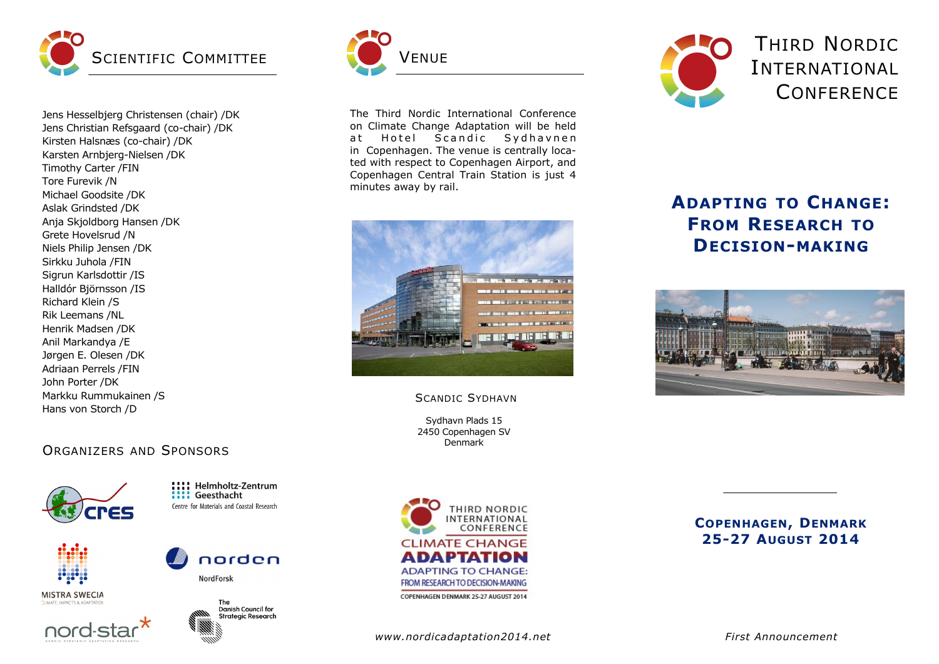

Jens Hesselbjerg Christensen (chair) /DK Jens Christian Refsgaard (co-chair) /DK Kirsten Halsnæs (co-chair) /DK Karsten Arnbjerg-Nielsen /DK Timothy Carter /FIN Tore Furevik /N Michael Goodsite /DK Aslak Grindsted /DK Anja Skjoldborg Hansen /DK Grete Hovelsrud /N Niels Philip Jensen /DK Sirkku Juhola /FIN Sigrun Karlsdottir /IS Halldór Björnsson /IS Richard Klein /S Rik Leemans /NL Henrik Madsen /DK Anil Markandya /E Jørgen E. Olesen /DK Adriaan Perrels /FIN John Porter /DK Markku Rummukainen /S Hans von Storch /D

# ORGANIZERS AND SPONSORS



Helmholtz-Zentrum **Will Geesthacht** Centre for Materials and Coastal Research

norden



**MISTRA SWECIA** 





**NordForsk** 



The Third Nordic International Conference on Climate Change Adaptation will be held at Hotel Scandic Sydhavnen in Copenhagen. The venue is centrally located with respect to Copenhagen Airport, and Copenhagen Central Train Station is just 4 minutes away by rail.



### SCANDIC SYDHAVN

Sydhavn Plads 15 2450 Copenhagen SV Denmark



**COPENHAGEN, DENMARK 25-27 AUGUST 2014**



**ADAPTING TO CHANGE: FROM RESEARCH TO DECISION-MAKING**



*www.nordicadaptation2014.net*